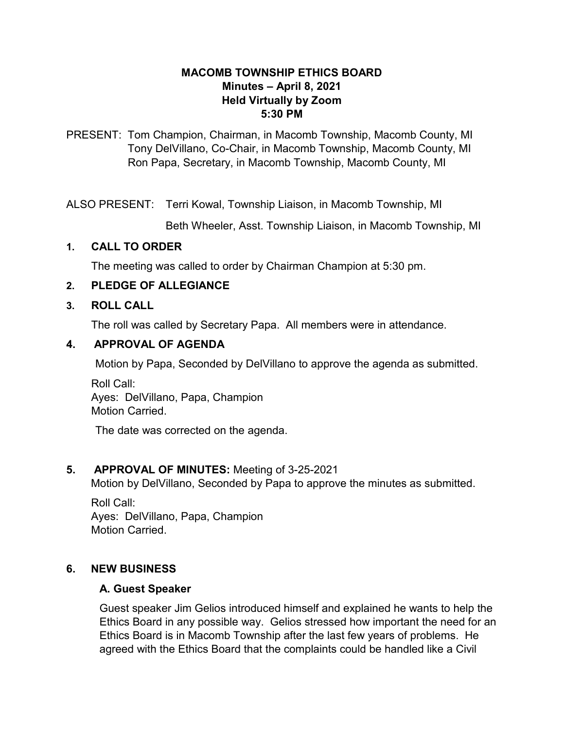#### **MACOMB TOWNSHIP ETHICS BOARD Minutes – April 8, 2021 Held Virtually by Zoom 5:30 PM**

PRESENT: Tom Champion, Chairman, in Macomb Township, Macomb County, MI Tony DelVillano, Co-Chair, in Macomb Township, Macomb County, MI Ron Papa, Secretary, in Macomb Township, Macomb County, MI

ALSO PRESENT: Terri Kowal, Township Liaison, in Macomb Township, MI

Beth Wheeler, Asst. Township Liaison, in Macomb Township, MI

#### **1. CALL TO ORDER**

The meeting was called to order by Chairman Champion at 5:30 pm.

# **2. PLEDGE OF ALLEGIANCE**

#### **3. ROLL CALL**

The roll was called by Secretary Papa. All members were in attendance.

#### **4. APPROVAL OF AGENDA**

Motion by Papa, Seconded by DelVillano to approve the agenda as submitted.

Roll Call: Ayes: DelVillano, Papa, Champion Motion Carried.

The date was corrected on the agenda.

# **5. APPROVAL OF MINUTES:** Meeting of 3-25-2021

Motion by DelVillano, Seconded by Papa to approve the minutes as submitted.

Roll Call: Ayes: DelVillano, Papa, Champion Motion Carried.

# **6. NEW BUSINESS**

#### **A. Guest Speaker**

Guest speaker Jim Gelios introduced himself and explained he wants to help the Ethics Board in any possible way. Gelios stressed how important the need for an Ethics Board is in Macomb Township after the last few years of problems. He agreed with the Ethics Board that the complaints could be handled like a Civil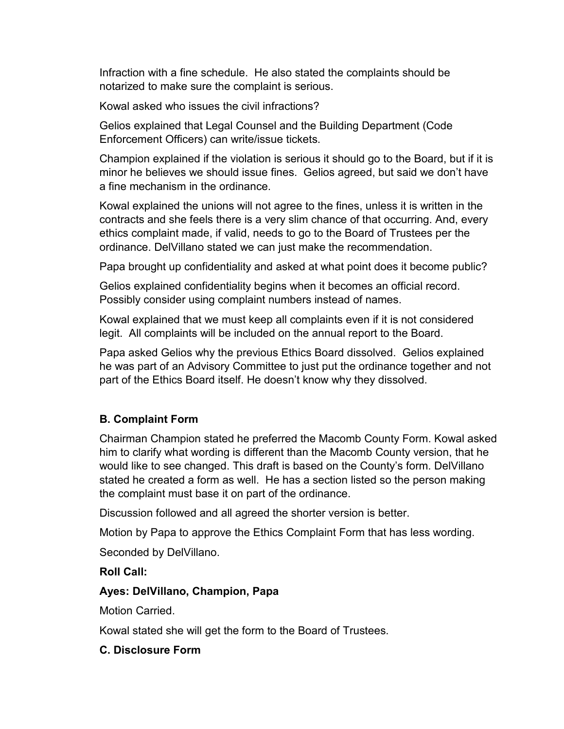Infraction with a fine schedule. He also stated the complaints should be notarized to make sure the complaint is serious.

Kowal asked who issues the civil infractions?

Gelios explained that Legal Counsel and the Building Department (Code Enforcement Officers) can write/issue tickets.

Champion explained if the violation is serious it should go to the Board, but if it is minor he believes we should issue fines. Gelios agreed, but said we don't have a fine mechanism in the ordinance.

Kowal explained the unions will not agree to the fines, unless it is written in the contracts and she feels there is a very slim chance of that occurring. And, every ethics complaint made, if valid, needs to go to the Board of Trustees per the ordinance. DelVillano stated we can just make the recommendation.

Papa brought up confidentiality and asked at what point does it become public?

Gelios explained confidentiality begins when it becomes an official record. Possibly consider using complaint numbers instead of names.

Kowal explained that we must keep all complaints even if it is not considered legit. All complaints will be included on the annual report to the Board.

Papa asked Gelios why the previous Ethics Board dissolved. Gelios explained he was part of an Advisory Committee to just put the ordinance together and not part of the Ethics Board itself. He doesn't know why they dissolved.

# **B. Complaint Form**

Chairman Champion stated he preferred the Macomb County Form. Kowal asked him to clarify what wording is different than the Macomb County version, that he would like to see changed. This draft is based on the County's form. DelVillano stated he created a form as well. He has a section listed so the person making the complaint must base it on part of the ordinance.

Discussion followed and all agreed the shorter version is better.

Motion by Papa to approve the Ethics Complaint Form that has less wording.

Seconded by DelVillano.

# **Roll Call:**

# **Ayes: DelVillano, Champion, Papa**

Motion Carried.

Kowal stated she will get the form to the Board of Trustees.

# **C. Disclosure Form**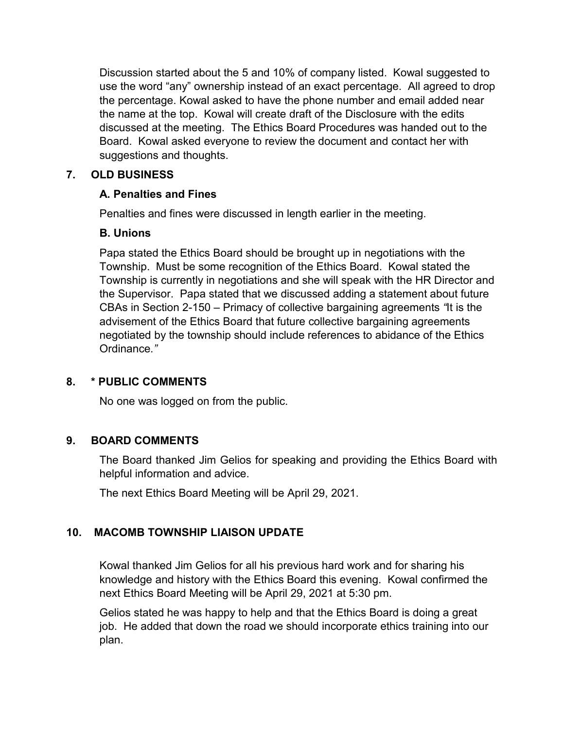Discussion started about the 5 and 10% of company listed. Kowal suggested to use the word "any" ownership instead of an exact percentage. All agreed to drop the percentage. Kowal asked to have the phone number and email added near the name at the top. Kowal will create draft of the Disclosure with the edits discussed at the meeting. The Ethics Board Procedures was handed out to the Board. Kowal asked everyone to review the document and contact her with suggestions and thoughts.

# **7. OLD BUSINESS**

#### **A. Penalties and Fines**

Penalties and fines were discussed in length earlier in the meeting.

#### **B. Unions**

Papa stated the Ethics Board should be brought up in negotiations with the Township. Must be some recognition of the Ethics Board. Kowal stated the Township is currently in negotiations and she will speak with the HR Director and the Supervisor. Papa stated that we discussed adding a statement about future CBAs in Section 2-150 – Primacy of collective bargaining agreements *"*It is the advisement of the Ethics Board that future collective bargaining agreements negotiated by the township should include references to abidance of the Ethics Ordinance*."* 

# **8. \* PUBLIC COMMENTS**

No one was logged on from the public.

# **9. BOARD COMMENTS**

The Board thanked Jim Gelios for speaking and providing the Ethics Board with helpful information and advice.

The next Ethics Board Meeting will be April 29, 2021.

# **10. MACOMB TOWNSHIP LIAISON UPDATE**

Kowal thanked Jim Gelios for all his previous hard work and for sharing his knowledge and history with the Ethics Board this evening. Kowal confirmed the next Ethics Board Meeting will be April 29, 2021 at 5:30 pm.

Gelios stated he was happy to help and that the Ethics Board is doing a great job. He added that down the road we should incorporate ethics training into our plan.